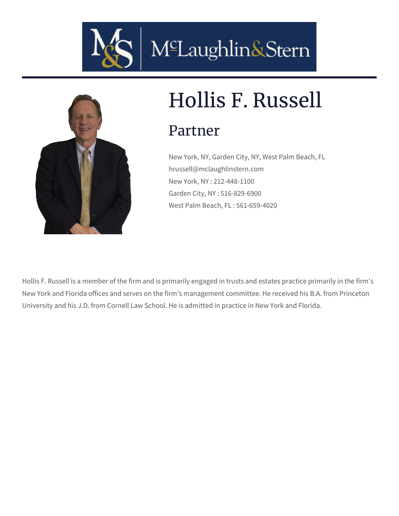



# Hollis F. Russell

### Partner

New York, NY, Garden City, NY, West Palm Beach, FL hrussell@mclaughlinstern.com New York, NY : 212-448-1100 Garden City, NY : 516-829-6900 West Palm Beach, FL : 561-659-4020

Hollis F. Russell is a member of the firm and is primarily engaged in trusts and estates practice primarily in the firm's New York and Florida offices and serves on the firm's management committee. He received his B.A. from Princeton University and his J.D. from Cornell Law School. He is admitted in practice in New York and Florida.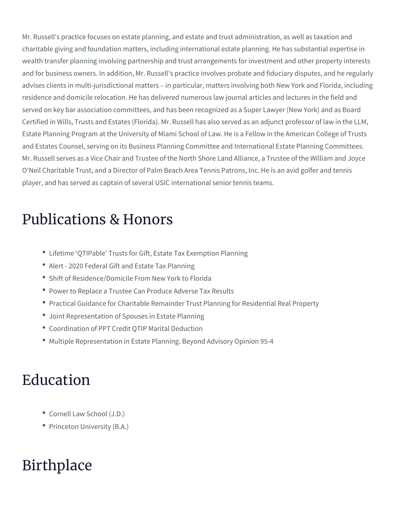Mr. Russell's practice focuses on estate planning, and estate and trust charitable giving and foundation matters, including international estate wealth transfer planning involving partnership and trust arrangements for and for business owners. In addition, Mr. Russell's practice involves pro advises clients in multi-jurisdictional matters in particular, matters in residence and domicile relocation. He has delivered numerous law journ served on key bar association committees, and has been recognized as Certified in Wills, Trusts and Estates (Florida). Mr. Russell has also se Estate Planning Program at the University of Miami School of Law. He is and Estates Counsel, serving on its Business Planning Committee and In Mr. Russell serves as a Vice Chair and Trustee of the North Shore Land O'Neil Charitable Trust, and a Director of Palm Beach Area Tennis Patro player, and has served as captain of several USIC international senior t

#### Publications & Honors

- [Lifetime QTIPable Trusts for Gift, Es](https://www.mclaughlinstern.com/wp-content/uploads/2021/06/NYLJ03172021483509McLaughlin.pdf)tate Tax Exemption Planning
- [Alert 2020 Federal Gift an](https://www.mclaughlinstern.com/wp-content/uploads/2020/02/NYLJ10082020462853McLaughlin_Part1-Part2.pdf)d Estate Tax Planning
- [Shift of Residence/Domicile Fro](/blog/shift-of-residence-domicile-from-new-york-to-florida/)m New York to Florida
- [Power to Replace a Trustee Can Pro](/wp-content/uploads/2020/02/Russell-article-Power-to-Replace-a-Trustee-Can-Produce-Adverse-Tax-Results-i0223829xAB907.pdf)duce Adverse Tax Results
- [Practical Guidance for Charitable Remainder Trust P](/wp-content/uploads/2020/02/Russell-article-Practical-Guidance-for-Charitable-Remainder-Trust-Planning-for-Residential-Real-Property-i0223827xAB907.pdf)lanning for Re
- [Joint Representation of Spous](/wp-content/uploads/2020/02/Russell-article-Joint-Representation-of-Spouses-in-Estate-Planning-i0223821xAB907.pdf)es in Estate Planning
- [Coordination of PPT Credit QT](/wp-content/uploads/2020/02/Russell-Article-Coodination-of-PPT-Credit-QTIP-Marital-Deduction-i0223823xAB907.pdf)IP Marital Deduction
- [Multiple Representation in Estate Planning.](https://www.mclaughlinstern.com/wp-content/uploads/2022/01/Russell-Article-Multiple-Representation-in-Estate-Planning.-Beyond-Advisory-Opinion-95-4.pdf) Beyond Advisory Opini

#### Education

- Cornell Law School (J.D.)
- Princeton University (B.A.)

#### Birthplace